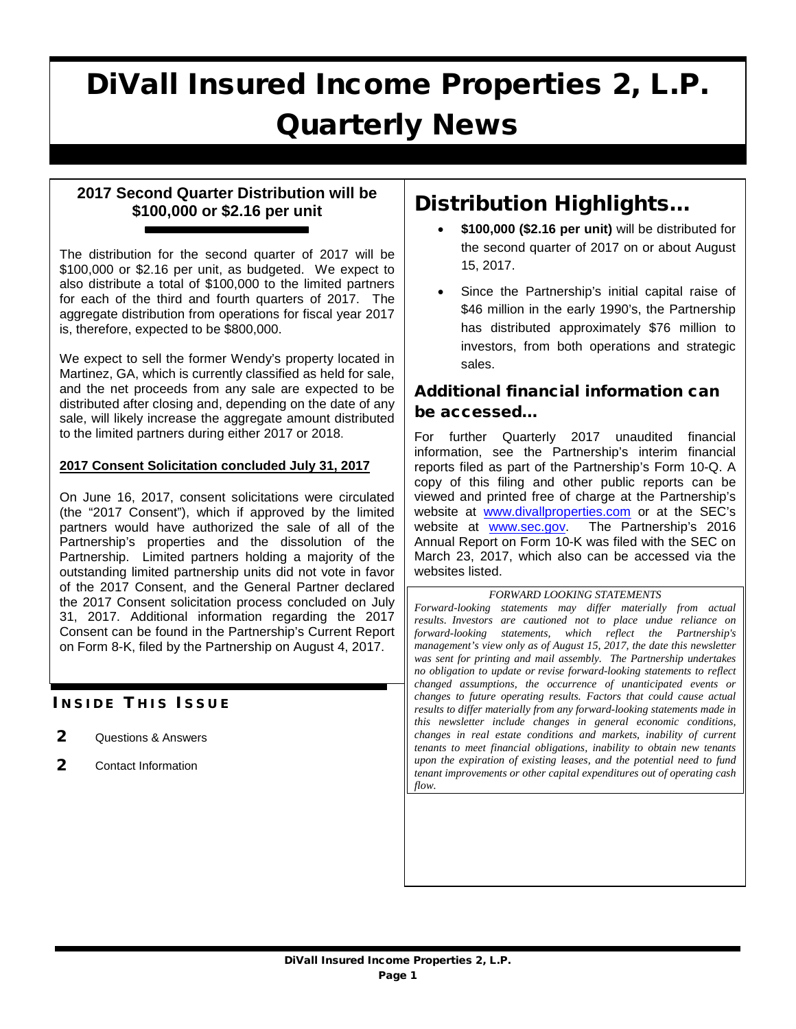# DiVall Insured Income Properties 2, L.P. Quarterly News

## **2017 Second Quarter Distribution will be \$100,000 or \$2.16 per unit**

The distribution for the second quarter of 2017 will be \$100,000 or \$2.16 per unit, as budgeted. We expect to also distribute a total of \$100,000 to the limited partners for each of the third and fourth quarters of 2017. The aggregate distribution from operations for fiscal year 2017 is, therefore, expected to be \$800,000.

We expect to sell the former Wendy's property located in Martinez, GA, which is currently classified as held for sale, and the net proceeds from any sale are expected to be distributed after closing and, depending on the date of any sale, will likely increase the aggregate amount distributed to the limited partners during either 2017 or 2018.

#### **2017 Consent Solicitation concluded July 31, 2017**

On June 16, 2017, consent solicitations were circulated (the "2017 Consent"), which if approved by the limited partners would have authorized the sale of all of the Partnership's properties and the dissolution of the Partnership. Limited partners holding a majority of the outstanding limited partnership units did not vote in favor of the 2017 Consent, and the General Partner declared the 2017 Consent solicitation process concluded on July 31, 2017. Additional information regarding the 2017 Consent can be found in the Partnership's Current Report on Form 8-K, filed by the Partnership on August 4, 2017.

### **INSIDE THIS ISSUE**

- 2 Questions & Answers
- 2 Contact Information

# Distribution Highlights…

- **\$100,000 (\$2.16 per unit)** will be distributed for the second quarter of 2017 on or about August 15, 2017.
- Since the Partnership's initial capital raise of \$46 million in the early 1990's, the Partnership has distributed approximately \$76 million to investors, from both operations and strategic sales.

# Additional financial information can be accessed…

For further Quarterly 2017 unaudited financial information, see the Partnership's interim financial reports filed as part of the Partnership's Form 10-Q. A copy of this filing and other public reports can be viewed and printed free of charge at the Partnership's website at [www.divallproperties.com](http://www.divallproperties.com/) or at the SEC's<br>website at www.sec.gov. The Partnership's 2016 website at [www.sec.gov.](http://www.sec.gov/) Annual Report on Form 10-K was filed with the SEC on March 23, 2017, which also can be accessed via the websites listed.

*FORWARD LOOKING STATEMENTS*

*Forward-looking statements may differ materially from actual results. Investors are cautioned not to place undue reliance on forward-looking statements, which reflect the Partnership's management's view only as of August 15, 2017, the date this newsletter was sent for printing and mail assembly. The Partnership undertakes no obligation to update or revise forward-looking statements to reflect changed assumptions, the occurrence of unanticipated events or changes to future operating results. Factors that could cause actual results to differ materially from any forward-looking statements made in this newsletter include changes in general economic conditions, changes in real estate conditions and markets, inability of current tenants to meet financial obligations, inability to obtain new tenants upon the expiration of existing leases, and the potential need to fund tenant improvements or other capital expenditures out of operating cash flow.*